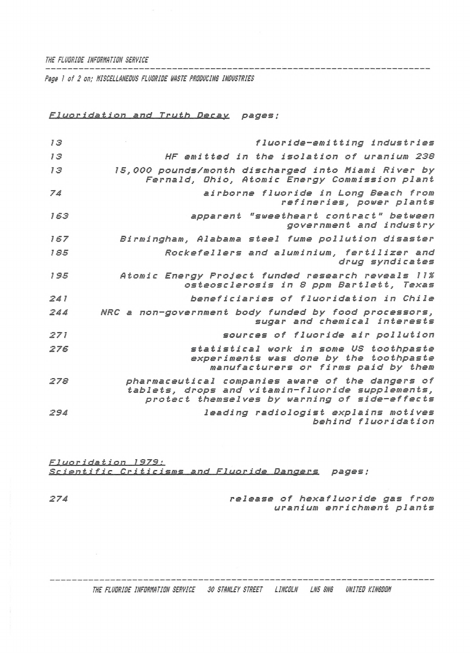## THE FLUDRIDE INFORMATION SERVICE

Page 1 of 2 on; MISCELLANEDUS FLUDRIDE WASTE PRODUCING INDUSTRIES

Fluoridation and Truth Decay pages:

| 13  | fluoride-emitting industries                                                                                                                          |
|-----|-------------------------------------------------------------------------------------------------------------------------------------------------------|
| 13  | HF emitted in the isolation of uranium 238                                                                                                            |
| 13  | 15,000 pounds/month discharged into Miami River by<br>Fernald, Ohio, Atomic Energy Commission plant                                                   |
| 74  | airborne fluoride in Long Beach from<br>refineries, power plants                                                                                      |
| 163 | apparent "sweetheart contract" between<br>government and industry                                                                                     |
| 167 | Birmingham, Alabama steel fume pollution disaster                                                                                                     |
| 185 | Rockefellers and aluminium, fertilizer and<br>drug syndicates                                                                                         |
| 195 | Atomic Energy Project funded research reveals 11%<br>osteosclerosis in 8 ppm Bartlett, Texas                                                          |
| 241 | beneficiaries of fluoridation in Chile                                                                                                                |
| 244 | NRC a non-government body funded by food processors,<br>sugar and chemical interests                                                                  |
| 271 | sources of fluoride air pollution                                                                                                                     |
| 276 | statistical work in some US toothpaste<br>experiments was done by the toothpaste<br>manufacturers or firms paid by them                               |
| 278 | pharmaceutical companies aware of the dangers of<br>tablets, drops and vitamin-fluoride supplements,<br>protect themselves by warning of side-effects |
| 294 | leading radiologist explains motives<br>behind fluoridation                                                                                           |

Fluoridation 1979: Scientific Criticisms and Fluoride Dangers pages;

release of hexafluoride gas from uranium enrichment plants

274